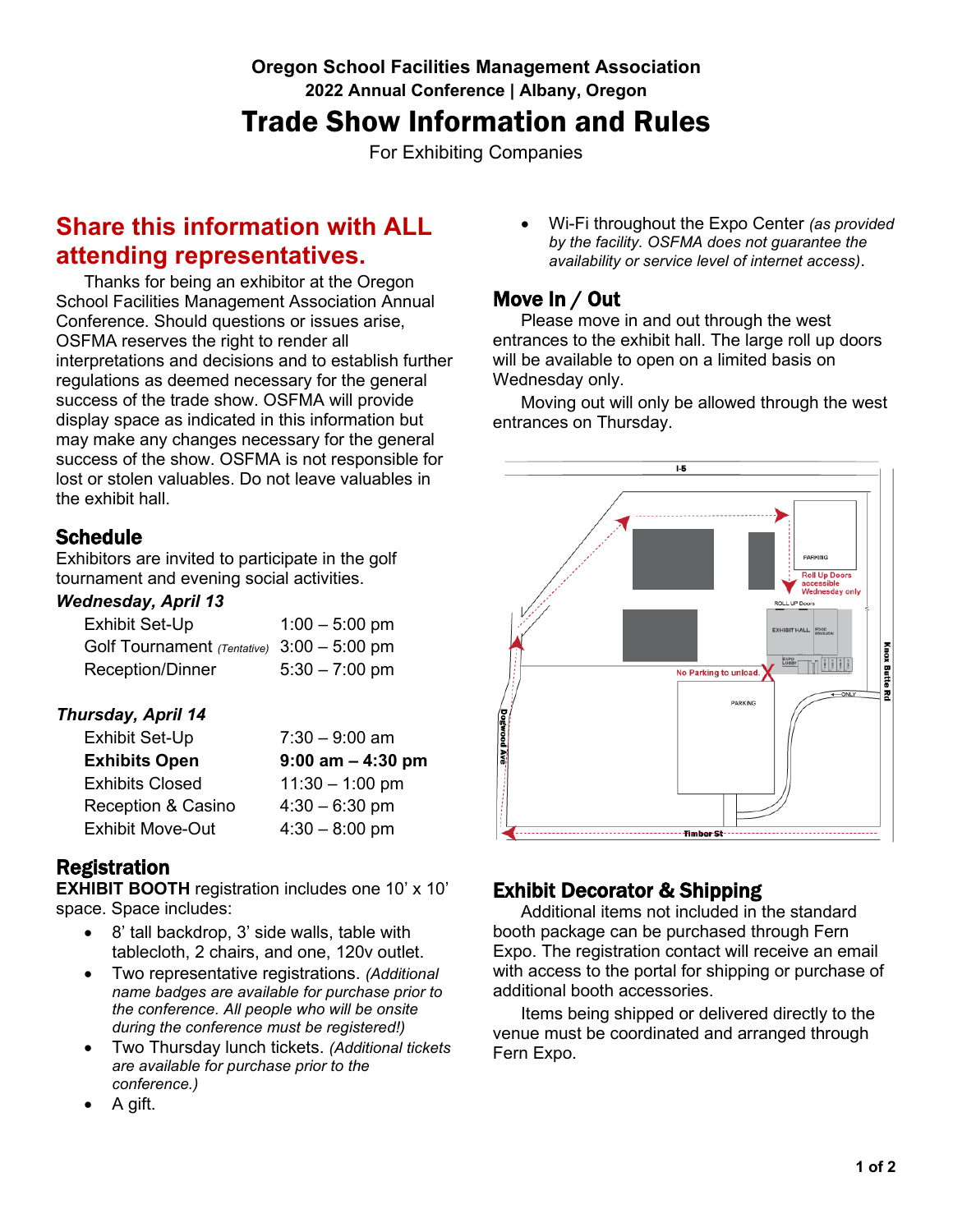## **Oregon School Facilities Management Association 2022 Annual Conference | Albany, Oregon** Trade Show Information and Rules

For Exhibiting Companies

# **Share this information with ALL attending representatives.**

Thanks for being an exhibitor at the Oregon School Facilities Management Association Annual Conference. Should questions or issues arise, OSFMA reserves the right to render all interpretations and decisions and to establish further regulations as deemed necessary for the general success of the trade show. OSFMA will provide display space as indicated in this information but may make any changes necessary for the general success of the show. OSFMA is not responsible for lost or stolen valuables. Do not leave valuables in the exhibit hall.

## **Schedule**

Exhibitors are invited to participate in the golf tournament and evening social activities.

### *Wednesday, April 13*

| Exhibit Set-Up                               | $1:00 - 5:00$ pm |
|----------------------------------------------|------------------|
| Golf Tournament (Tentative) $3:00 - 5:00$ pm |                  |
| Reception/Dinner                             | $5:30 - 7:00$ pm |

### *Thursday, April 14*

| Exhibit Set-Up                | $7:30 - 9:00$ am     |
|-------------------------------|----------------------|
| <b>Exhibits Open</b>          | $9:00$ am $-4:30$ pm |
| <b>Exhibits Closed</b>        | $11:30 - 1:00$ pm    |
| <b>Reception &amp; Casino</b> | $4:30 - 6:30$ pm     |
| <b>Exhibit Move-Out</b>       | $4:30 - 8:00$ pm     |

## Registration

**EXHIBIT BOOTH** registration includes one 10' x 10' space. Space includes:

- 8' tall backdrop, 3' side walls, table with tablecloth, 2 chairs, and one, 120v outlet.
- Two representative registrations. *(Additional name badges are available for purchase prior to the conference. All people who will be onsite during the conference must be registered!)*
- Two Thursday lunch tickets. *(Additional tickets are available for purchase prior to the conference.)*
- A gift.

• Wi-Fi throughout the Expo Center *(as provided by the facility. OSFMA does not guarantee the availability or service level of internet access)*.

## Move In / Out

Please move in and out through the west entrances to the exhibit hall. The large roll up doors will be available to open on a limited basis on Wednesday only.

Moving out will only be allowed through the west entrances on Thursday.



## Exhibit Decorator & Shipping

Additional items not included in the standard booth package can be purchased through Fern Expo. The registration contact will receive an email with access to the portal for shipping or purchase of additional booth accessories.

Items being shipped or delivered directly to the venue must be coordinated and arranged through Fern Expo.